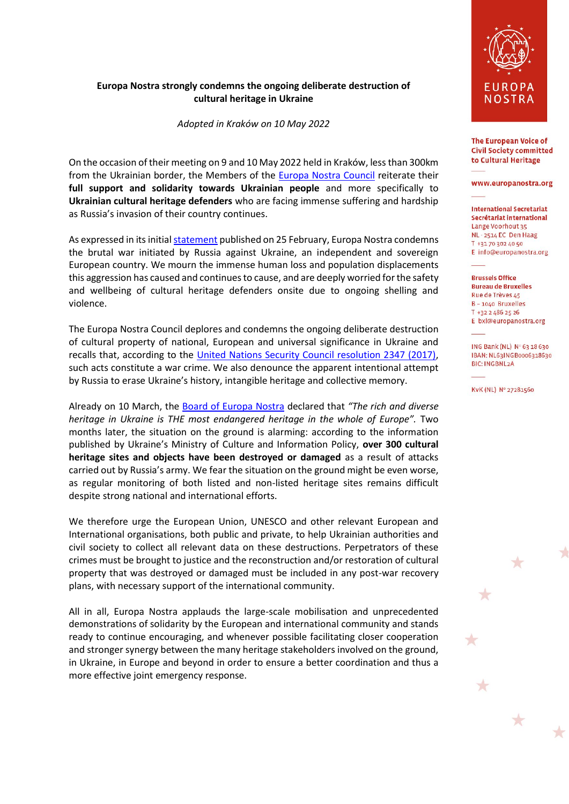## **Europa Nostra strongly condemns the ongoing deliberate destruction of cultural heritage in Ukraine**

*Adopted in Kraków on 10 May 2022*

On the occasion of their meeting on 9 and 10 May 2022 held in Kraków, less than 300km from the Ukrainian border, the Members of the [Europa Nostra Council](https://www.europanostra.org/about-us/governance/council/) reiterate their **full support and solidarity towards Ukrainian people** and more specifically to **Ukrainian cultural heritage defenders** who are facing immense suffering and hardship as Russia's invasion of their country continues.

As expressed in its initia[l statement](https://www.europanostra.org/europa-nostra-stands-in-solidarity-with-ukraine/) published on 25 February, Europa Nostra condemns the brutal war initiated by Russia against Ukraine, an independent and sovereign European country. We mourn the immense human loss and population displacements this aggression has caused and continues to cause, and are deeply worried for the safety and wellbeing of cultural heritage defenders onsite due to ongoing shelling and violence.

The Europa Nostra Council deplores and condemns the ongoing deliberate destruction of cultural property of national, European and universal significance in Ukraine and recalls that, according to the [United Nations Security Council resolution 2347 \(2017\),](https://www.un.org/securitycouncil/s/res/2347-%282017%29) such acts constitute a war crime. We also denounce the apparent intentional attempt by Russia to erase Ukraine's history, intangible heritage and collective memory.

Already on 10 March, the [Board of Europa Nostra](https://www.europanostra.org/about-us/governance/board/) declared that *"The rich and diverse heritage in Ukraine is THE most endangered heritage in the whole of Europe".* Two months later, the situation on the ground is alarming: according to the information published by Ukraine's Ministry of Culture and Information Policy, **over 300 cultural heritage sites and objects have been destroyed or damaged** as a result of attacks carried out by Russia's army. We fear the situation on the ground might be even worse, as regular monitoring of both listed and non-listed heritage sites remains difficult despite strong national and international efforts.

We therefore urge the European Union, UNESCO and other relevant European and International organisations, both public and private, to help Ukrainian authorities and civil society to collect all relevant data on these destructions. Perpetrators of these crimes must be brought to justice and the reconstruction and/or restoration of cultural property that was destroyed or damaged must be included in any post-war recovery plans, with necessary support of the international community.

All in all, Europa Nostra applauds the large-scale mobilisation and unprecedented demonstrations of solidarity by the European and international community and stands ready to continue encouraging, and whenever possible facilitating closer cooperation and stronger synergy between the many heritage stakeholders involved on the ground, in Ukraine, in Europe and beyond in order to ensure a better coordination and thus a more effective joint emergency response.



The European Voice of **Civil Society committed** to Cultural Heritage

## www.europanostra.org

**International Secretariat** Secrétariat international Lange Voorhout 35 NL - 2514 EC Den Haag T +31 70 302 40 50 E info@europanostra.org

**Brussels Office** 

**Bureau de Bruxelles** Rue de Trèves 45  $B - 1040$  Bruxelles T +32 2 486 25 26 E bxl@europanostra.org

ING Bank (NL) Nº 63 18 630 IBAN: NL63INGB0006318630 **BIC: INGBNL2A** 

T.

 $\star$ 

KvK (NL) Nº 27281560